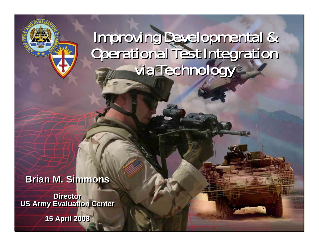#### Improving Developmental & Operational Test Integration via Technology Improving Developmental & Operational Test Integration via Technology

**Brian M. Simmons Brian M. Simmons**

**Director US Army Evaluation Center US Army Evaluation Center**

**15 April 2008 15 April 2008**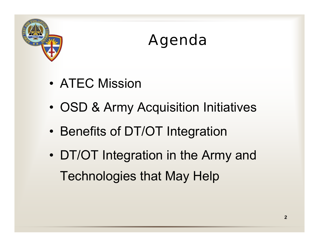

### Agenda

- ATEC Mission
- •OSD & Army Acquisition Initiatives
- •Benefits of DT/OT Integration
- • DT/OT Integration in the Army and Technologies that May Help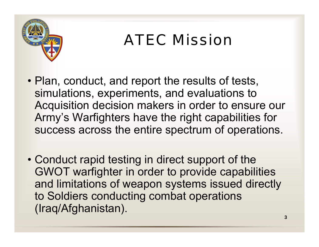

## ATEC Mission

- Plan, conduct, and report the results of tests, simulations, experiments, and evaluations to Acquisition decision makers in order to ensure our Army's Warfighters have the right capabilities for success across the entire spectrum of operations.
- Conduct rapid testing in direct support of the GWOT warfighter in order to provide capabilities and limitations of weapon systems issued directly to Soldiers conducting combat operations (Iraq/Afghanistan).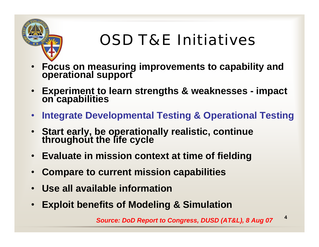

# OSD T&E Initiatives

- •**Focus on measuring improvements to capability and operational support**
- •**Experiment to learn strengths & weaknesses - impact on capabilities**
- •**Integrate Developmental Testing & Operational Testing**
- $\bullet$ **Start early, be operationally realistic, continue throughout the life cycle**
- $\bullet$ **Evaluate in mission context at time of fielding**
- •**Compare to current mission capabilities**
- •**Use all available information**
- •**Exploit benefits of Modeling & Simulation**

**4***Source: DoD Report to Congress, DUSD (AT&L), 8 Aug 07*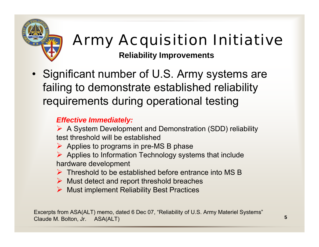

# Army Acquisition Initiative

**Reliability Improvements**

• Significant number of U.S. Army systems are failing to demonstrate established reliability requirements during operational testing

#### *Effective Immediately:*

¾ A System Development and Demonstration (SDD) reliability test threshold will be established

- $\triangleright$  Applies to programs in pre-MS B phase
- $\triangleright$  Applies to Information Technology systems that include hardware development
- $\triangleright$  Threshold to be established before entrance into MS B
- $\triangleright$  Must detect and report threshold breaches
- ¾ Must implement Reliability Best Practices

Excerpts from ASA(ALT) memo, dated 6 Dec 07, "Reliability of U.S. Army Materiel Systems" Claude M. Bolton, Jr. ASA(ALT)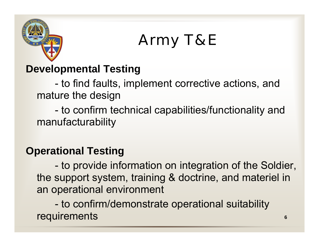

# Army T&E

#### **Developmental Testing**

 to find faults, implement corrective actions, and mature the design

 to confirm technical capabilities/functionality and manufacturability

#### **Operational Testing**

 to provide information on integration of the Soldier, the support system, training & doctrine, and materiel in an operational environment

 to confirm/demonstrate operational suitability requirements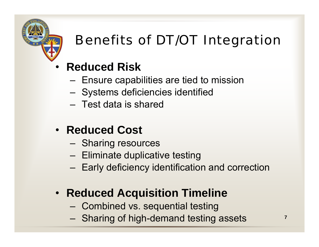

### Benefits of DT/OT Integration

- • **Reduced Risk**
	- –Ensure capabilities are tied to mission
	- Systems deficiencies identified
	- Test data is shared
- **Reduced Cost**
	- –Sharing resources
	- Eliminate duplicative testing
	- Early deficiency identification and correction
- **Reduced Acquisition Timeline**
	- Combined vs. sequential testing
	- Sharing of high-demand testing assets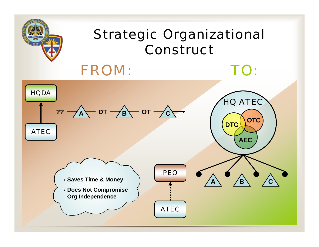

### Strategic Organizational Construct

TO:

### FROM:

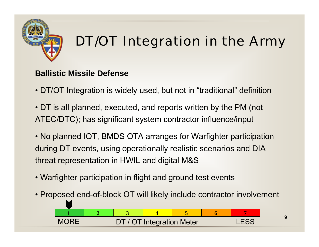

#### **Ballistic Missile Defense**

- DT/OT Integration is widely used, but not in "traditional" definition
- DT is all planned, executed, and reports written by the PM (not ATEC/DTC); has significant system contractor influence/input
- No planned IOT, BMDS OTA arranges for Warfighter participation during DT events, using operationally realistic scenarios and DIA threat representation in HWIL and digital M&S
- Warfighter participation in flight and ground test events
- Proposed end-of-block OT will likely include contractor involvement



**9**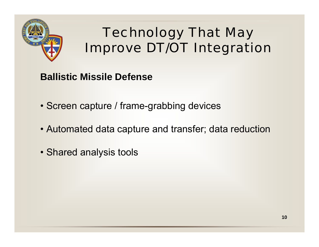

- **Ballistic Missile Defense**
- Screen capture / frame-grabbing devices
- Automated data capture and transfer; data reduction
- Shared analysis tools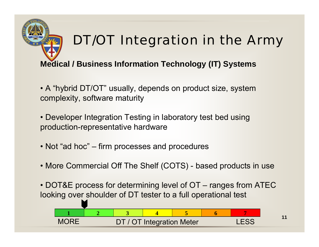#### **Medical / Business Information Technology (IT) Systems**

- A "hybrid DT/OT" usually, depends on product size, system complexity, software maturity
- Developer Integration Testing in laboratory test bed using production-representative hardware
- Not "ad hoc" firm processes and procedures
- More Commercial Off The Shelf (COTS) based products in use
- DOT&E process for determining level of OT ranges from ATEC looking over shoulder of DT tester to a full operational test



**11**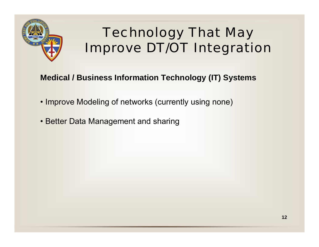

#### **Medical / Business Information Technology (IT) Systems**

- Improve Modeling of networks (currently using none)
- Better Data Management and sharing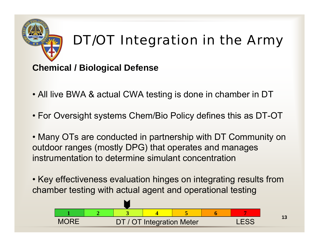#### **Chemical / Biological Defense**

- All live BWA & actual CWA testing is done in chamber in DT
- For Oversight systems Chem/Bio Policy defines this as DT-OT
- Many OTs are conducted in partnership with DT Community on outdoor ranges (mostly DPG) that operates and manages instrumentation to determine simulant concentration
- Key effectiveness evaluation hinges on integrating results from chamber testing with actual agent and operational testing



**13**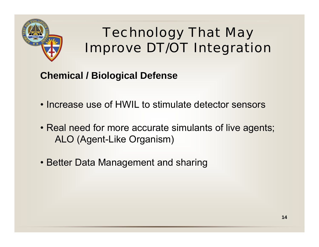

**Chemical / Biological Defense**

- Increase use of HWIL to stimulate detector sensors
- Real need for more accurate simulants of live agents; ALO (Agent-Like Organism)
- Better Data Management and sharing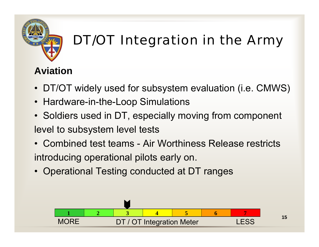

#### **Aviation**

- DT/OT widely used for subsystem evaluation (i.e. CMWS)
- Hardware-in-the-Loop Simulations
- Soldiers used in DT, especially moving from component level to subsystem level tests
- Combined test teams Air Worthiness Release restricts introducing operational pilots early on.
- Operational Testing conducted at DT ranges

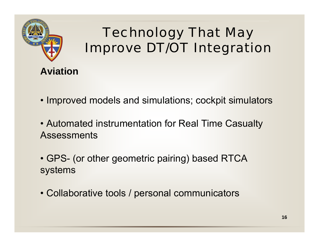

**Aviation**

- Improved models and simulations; cockpit simulators
- Automated instrumentation for Real Time Casualty Assessments
- GPS- (or other geometric pairing) based RTCA systems
- Collaborative tools / personal communicators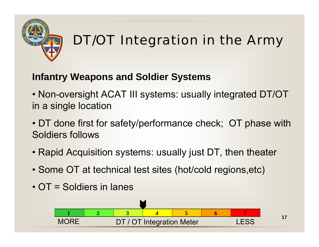

#### **Infantry Weapons and Soldier Systems**

- Non-oversight ACAT III systems: usually integrated DT/OT in a single location
- DT done first for safety/performance check; OT phase with Soldiers follows
- Rapid Acquisition systems: usually just DT, then theater
- Some OT at technical test sites (hot/cold regions,etc)
- OT = Soldiers in lanes

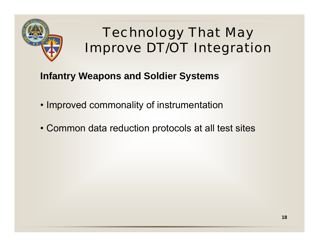

#### **Infantry Weapons and Soldier Systems**

- Improved commonality of instrumentation
- Common data reduction protocols at all test sites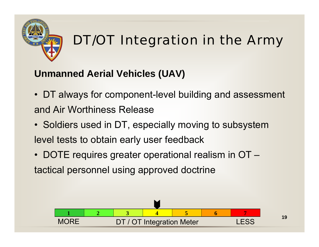

#### **Unmanned Aerial Vehicles (UAV)**

- DT always for component-level building and assessment and Air Worthiness Release
- Soldiers used in DT, especially moving to subsystem level tests to obtain early user feedback
- DOTE requires greater operational realism in OT tactical personnel using approved doctrine

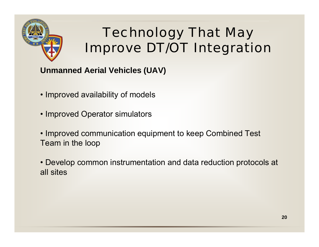

**Unmanned Aerial Vehicles (UAV)**

- Improved availability of models
- Improved Operator simulators
- Improved communication equipment to keep Combined Test Team in the loop
- Develop common instrumentation and data reduction protocols at all sites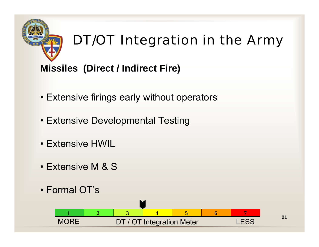### **Missiles (Direct / Indirect Fire)**

- Extensive firings early without operators
- Extensive Developmental Testing
- Extensive HWIL
- Extensive M & S
- Formal OT's

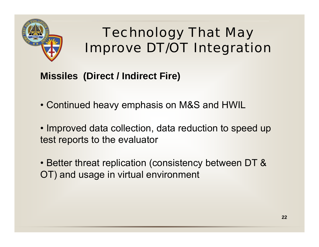

#### **Missiles (Direct / Indirect Fire)**

- Continued heavy emphasis on M&S and HWIL
- Improved data collection, data reduction to speed up test reports to the evaluator
- Better threat replication (consistency between DT & OT) and usage in virtual environment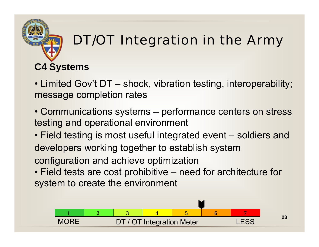### **C4 Systems**

- Limited Gov't DT shock, vibration testing, interoperability; message completion rates
- Communications systems performance centers on stress testing and operational environment
- Field testing is most useful integrated event soldiers and developers working together to establish system configuration and achieve optimization
- Field tests are cost prohibitive need for architecture for system to create the environment

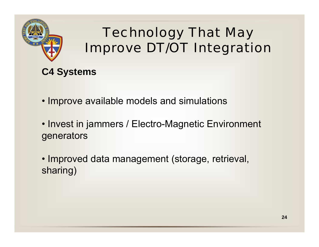



- Improve available models and simulations
- Invest in jammers / Electro-Magnetic Environment generators
- Improved data management (storage, retrieval, sharing)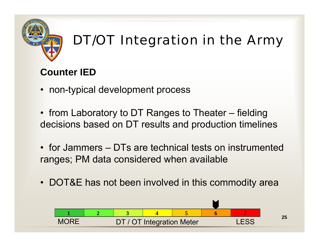

#### **Counter IED**

- non-typical development process
- from Laboratory to DT Ranges to Theater fielding decisions based on DT results and production timelines
- for Jammers DTs are technical tests on instrumented ranges; PM data considered when available
- DOT&E has not been involved in this commodity area

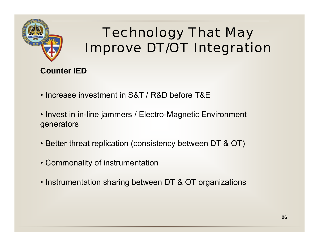

#### **Counter IED**

- Increase investment in S&T / R&D before T&E
- Invest in in-line jammers / Electro-Magnetic Environment generators
- Better threat replication (consistency between DT & OT)
- Commonality of instrumentation
- Instrumentation sharing between DT & OT organizations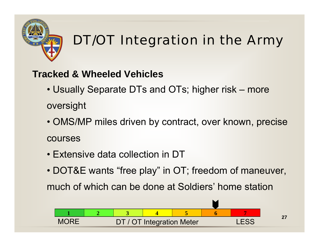

#### **Tracked & Wheeled Vehicles**

- Usually Separate DTs and OTs; higher risk more oversight
- OMS/MP miles driven by contract, over known, precise courses
- Extensive data collection in DT
- DOT&E wants "free play" in OT; freedom of maneuver,

much of which can be done at Soldiers' home station

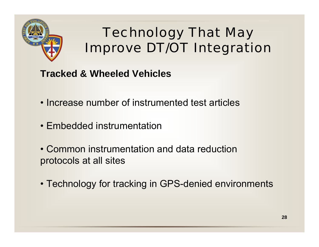

#### **Tracked & Wheeled Vehicles**

- Increase number of instrumented test articles
- Embedded instrumentation
- Common instrumentation and data reduction protocols at all sites
- Technology for tracking in GPS-denied environments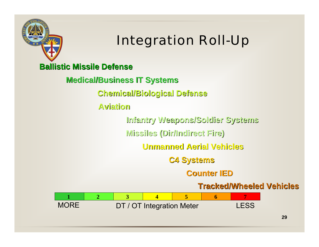

### Integration Roll-Up

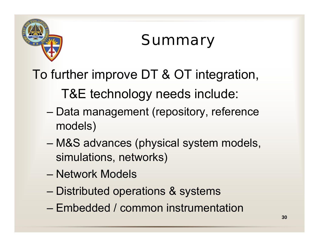

## Summary

### To further improve DT & OT integration,

T&E technology needs include:

- – Data management (repository, reference models)
- – M&S advances (physical system models, simulations, networks)
- Network Models
- –Distributed operations & systems
- Embedded / common instrumentation